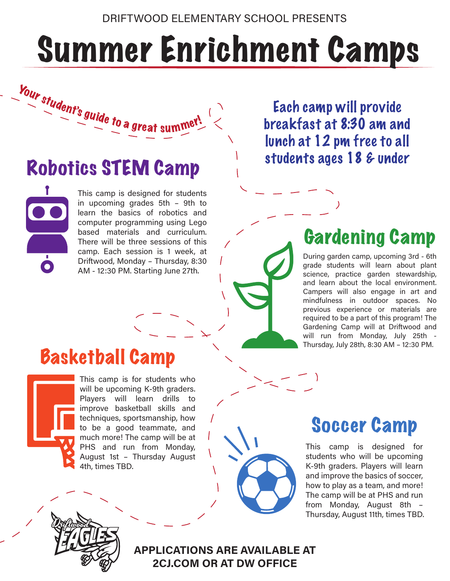# Summer Enrichment Camps

Robotics STEM Camp

Your student's guide to a great summer!

This camp is designed for students in upcoming grades 5th – 9th to learn the basics of robotics and computer programming using Lego based materials and curriculum. There will be three sessions of this camp. Each session is 1 week, at Driftwood, Monday – Thursday, 8:30 AM - 12:30 PM. Starting June 27th.

Each camp will provide breakfast at 8:30 am and lunch at 12 pm free to all students ages 18 & under

## Gardening Camp

During garden camp, upcoming 3rd - 6th grade students will learn about plant science, practice garden stewardship, and learn about the local environment. Campers will also engage in art and mindfulness in outdoor spaces. No previous experience or materials are required to be a part of this program! The Gardening Camp will at Driftwood and will run from Monday, July 25th - Thursday, July 28th, 8:30 AM – 12:30 PM.

## Basketball Camp



This camp is for students who will be upcoming K-9th graders. Players will learn drills to improve basketball skills and techniques, sportsmanship, how to be a good teammate, and much more! The camp will be at PHS and run from Monday, August 1st – Thursday August 4th, times TBD.



This camp is designed for students who will be upcoming K-9th graders. Players will learn and improve the basics of soccer, how to play as a team, and more! The camp will be at PHS and run from Monday, August 8th – Thursday, August 11th, times TBD.



**APPLICATIONS ARE AVAILABLE AT 2CJ.COM OR AT DW OFFICE**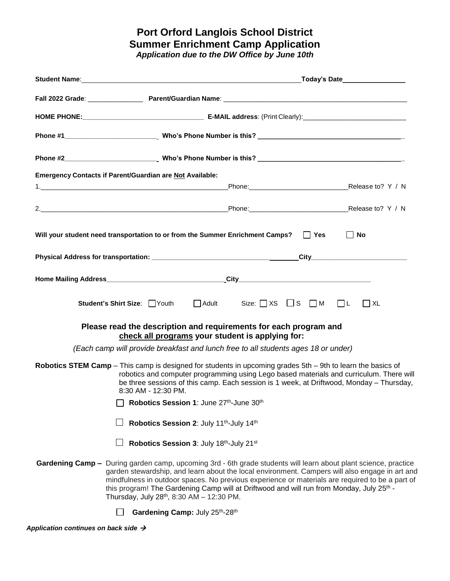### **Port Orford Langlois School District Summer Enrichment Camp Application** *Application due to the DW Office by June 10th*

| <b>Emergency Contacts if Parent/Guardian are Not Available:</b>                                                                                                                                                                                                                                                                                                                                                                                                            |
|----------------------------------------------------------------------------------------------------------------------------------------------------------------------------------------------------------------------------------------------------------------------------------------------------------------------------------------------------------------------------------------------------------------------------------------------------------------------------|
|                                                                                                                                                                                                                                                                                                                                                                                                                                                                            |
| 2. Release to? Y / N                                                                                                                                                                                                                                                                                                                                                                                                                                                       |
| Will your student need transportation to or from the Summer Enrichment Camps?<br>$\blacksquare$ No<br><b>Yes</b>                                                                                                                                                                                                                                                                                                                                                           |
|                                                                                                                                                                                                                                                                                                                                                                                                                                                                            |
|                                                                                                                                                                                                                                                                                                                                                                                                                                                                            |
| $\Box$ Adult Size: $\Box$ XS $\Box$ S $\Box$ M<br>$\Box$<br>Student's Shirt Size: Youth<br><b>XL</b>                                                                                                                                                                                                                                                                                                                                                                       |
| Please read the description and requirements for each program and<br>check all programs your student is applying for:                                                                                                                                                                                                                                                                                                                                                      |
| (Each camp will provide breakfast and lunch free to all students ages 18 or under)                                                                                                                                                                                                                                                                                                                                                                                         |
| Robotics STEM Camp - This camp is designed for students in upcoming grades 5th - 9th to learn the basics of<br>robotics and computer programming using Lego based materials and curriculum. There will<br>be three sessions of this camp. Each session is 1 week, at Driftwood, Monday - Thursday,<br>8:30 AM - 12:30 PM.                                                                                                                                                  |
| Robotics Session 1: June 27th-June 30th                                                                                                                                                                                                                                                                                                                                                                                                                                    |
| Robotics Session 2: July 11th-July 14th                                                                                                                                                                                                                                                                                                                                                                                                                                    |
| Robotics Session 3: July 18th-July 21st                                                                                                                                                                                                                                                                                                                                                                                                                                    |
| Gardening Camp - During garden camp, upcoming 3rd - 6th grade students will learn about plant science, practice<br>garden stewardship, and learn about the local environment. Campers will also engage in art and<br>mindfulness in outdoor spaces. No previous experience or materials are required to be a part of<br>this program! The Gardening Camp will at Driftwood and will run from Monday, July 25 <sup>th</sup> -<br>Thursday, July 28th, 8:30 AM $-$ 12:30 PM. |
|                                                                                                                                                                                                                                                                                                                                                                                                                                                                            |

**Gardening Camp:** July 25th-28th *i o m m*

*Application continues on back side* → *n f*